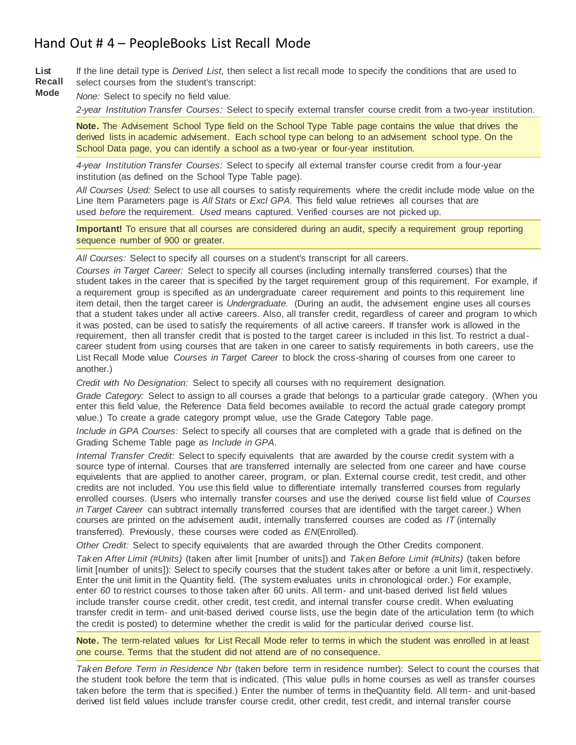## Hand Out # 4 – PeopleBooks List Recall Mode

**List Recall**  If the line detail type is *Derived List,* then select a list recall mode to specify the conditions that are used to select courses from the student's transcript:

**Mode** *None:* Select to specify no field value.

*2-year Institution Transfer Courses:* Select to specify external transfer course credit from a two-year institution.

**Note.** The Advisement School Type field on the School Type Table page contains the value that drives the derived lists in academic advisement. Each school type can belong to an advisement school type. On the School Data page, you can identify a school as a two-year or four-year institution.

*4-year Institution Transfer Courses:* Select to specify all external transfer course credit from a four-year institution (as defined on the School Type Table page).

*All Courses Used:* Select to use all courses to satisfy requirements where the credit include mode value on the Line Item Parameters page is *All Stats* or *Excl GPA.* This field value retrieves all courses that are used *before* the requirement. *Used* means captured. Verified courses are not picked up.

**Important!** To ensure that all courses are considered during an audit, specify a requirement group reporting sequence number of 900 or greater.

*All Courses:* Select to specify all courses on a student's transcript for all careers.

*Courses in Target Career:* Select to specify all courses (including internally transferred courses) that the student takes in the career that is specified by the target requirement group of this requirement. For example, if a requirement group is specified as an undergraduate career requirement and points to this requirement line item detail, then the target career is *Undergraduate.* (During an audit, the advisement engine uses all courses that a student takes under all active careers. Also, all transfer credit, regardless of career and program to which it was posted, can be used to satisfy the requirements of all active careers. If transfer work is allowed in the requirement, then all transfer credit that is posted to the target career is included in this list. To restrict a dualcareer student from using courses that are taken in one career to satisfy requirements in both careers, use the List Recall Mode value *Courses in Target Career* to block the cross-sharing of courses from one career to another.)

*Credit with No Designation:* Select to specify all courses with no requirement designation.

*Grade Category:* Select to assign to all courses a grade that belongs to a particular grade category . (When you enter this field value, the Reference Data field becomes available to record the actual grade category prompt value.) To create a grade category prompt value, use the Grade Category Table page.

*Include in GPA Courses:* Select to specify all courses that are completed with a grade that is defined on the Grading Scheme Table page as *Include in GPA.*

*Internal Transfer Credit:* Select to specify equivalents that are awarded by the course credit system with a source type of internal. Courses that are transferred internally are selected from one career and have course equivalents that are applied to another career, program, or plan. External course credit, test credit, and other credits are not included. You use this field value to differentiate internally transferred courses from regularly enrolled courses. (Users who internally transfer courses and use the derived course list field value of *Courses in Target Career* can subtract internally transferred courses that are identified with the target career.) When courses are printed on the advisement audit, internally transferred courses are coded as *IT* (internally transferred). Previously, these courses were coded as *EN*(Enrolled).

*Other Credit:* Select to specify equivalents that are awarded through the Other Credits component.

*Taken After Limit (#Units)* (taken after limit [number of units]) and *Taken Before Limit (#Units)* (taken before limit [number of units]): Select to specify courses that the student takes after or before a unit limit, respectively. Enter the unit limit in the Quantity field. (The system evaluates units in chronological order.) For example, enter *60* to restrict courses to those taken after 60 units. All term- and unit-based derived list field values include transfer course credit, other credit, test credit, and internal transfer course credit. When evaluating transfer credit in term- and unit-based derived course lists, use the begin date of the articulation term (to which the credit is posted) to determine whether the credit is valid for the particular derived course list.

**Note.** The term-related values for List Recall Mode refer to terms in which the student was enrolled in at least one course. Terms that the student did not attend are of no consequence.

*Taken Before Term in Residence Nbr* (taken before term in residence number): Select to count the courses that the student took before the term that is indicated. (This value pulls in home courses as well as transfer courses taken before the term that is specified.) Enter the number of terms in theQuantity field. All term- and unit-based derived list field values include transfer course credit, other credit, test credit, and internal transfer course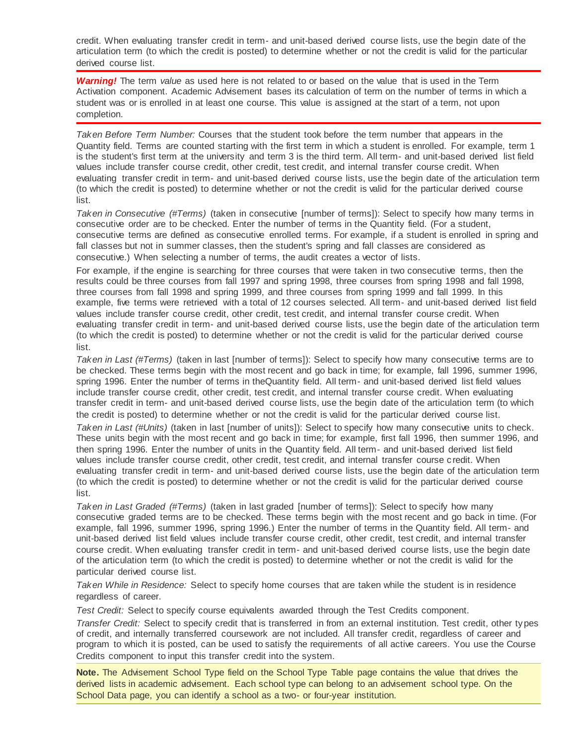credit. When evaluating transfer credit in term- and unit-based derived course lists, use the begin date of the articulation term (to which the credit is posted) to determine whether or not the credit is valid for the particular derived course list.

*Warning!* The term *value* as used here is not related to or based on the value that is used in the Term Activation component. Academic Advisement bases its calculation of term on the number of terms in which a student was or is enrolled in at least one course. This value is assigned at the start of a term, not upon completion.

*Taken Before Term Number:* Courses that the student took before the term number that appears in the Quantity field. Terms are counted starting with the first term in which a student is enrolled. For example, term 1 is the student's first term at the university and term 3 is the third term. All term- and unit-based derived list field values include transfer course credit, other credit, test credit, and internal transfer course credit. When evaluating transfer credit in term- and unit-based derived course lists, use the begin date of the articulation term (to which the credit is posted) to determine whether or not the credit is valid for the particular derived course list.

*Taken in Consecutive (#Terms)* (taken in consecutive [number of terms]): Select to specify how many terms in consecutive order are to be checked. Enter the number of terms in the Quantity field. (For a student, consecutive terms are defined as consecutive enrolled terms. For example, if a student is enrolled in spring and fall classes but not in summer classes, then the student's spring and fall classes are considered as consecutive.) When selecting a number of terms, the audit creates a vector of lists.

For example, if the engine is searching for three courses that were taken in two consecutive terms, then the results could be three courses from fall 1997 and spring 1998, three courses from spring 1998 and fall 1998, three courses from fall 1998 and spring 1999, and three courses from spring 1999 and fall 1999. In this example, five terms were retrieved with a total of 12 courses selected. All term- and unit-based derived list field values include transfer course credit, other credit, test credit, and internal transfer course credit. When evaluating transfer credit in term- and unit-based derived course lists, use the begin date of the articulation term (to which the credit is posted) to determine whether or not the credit is valid for the particular derived course list.

*Taken in Last (#Terms)* (taken in last [number of terms]): Select to specify how many consecutive terms are to be checked. These terms begin with the most recent and go back in time; for example, fall 1996, summer 1996, spring 1996. Enter the number of terms in theQuantity field. All term- and unit-based derived list field values include transfer course credit, other credit, test credit, and internal transfer course credit. When evaluating transfer credit in term- and unit-based derived course lists, use the begin date of the articulation term (to which the credit is posted) to determine whether or not the credit is valid for the particular derived course list.

*Taken in Last (#Units)* (taken in last [number of units]): Select to specify how many consecutive units to check. These units begin with the most recent and go back in time; for example, first fall 1996, then summer 1996, and then spring 1996. Enter the number of units in the Quantity field. All term- and unit-based derived list field values include transfer course credit, other credit, test credit, and internal transfer course c redit. When evaluating transfer credit in term- and unit-based derived course lists, use the begin date of the articulation term (to which the credit is posted) to determine whether or not the credit is valid for the particular derived course list.

*Taken in Last Graded (#Terms)* (taken in last graded [number of terms]): Select to specify how many consecutive graded terms are to be checked. These terms begin with the most recent and go back in time. (For example, fall 1996, summer 1996, spring 1996.) Enter the number of terms in the Quantity field. All term- and unit-based derived list field values include transfer course credit, other credit, test credit, and internal transfer course credit. When evaluating transfer credit in term- and unit-based derived course lists, use the begin date of the articulation term (to which the credit is posted) to determine whether or not the credit is valid for the particular derived course list.

*Taken While in Residence:* Select to specify home courses that are taken while the student is in residence regardless of career.

*Test Credit:* Select to specify course equivalents awarded through the Test Credits component.

*Transfer Credit:* Select to specify credit that is transferred in from an external institution. Test credit, other ty pes of credit, and internally transferred coursework are not included. All transfer credit, regardless of career and program to which it is posted, can be used to satisfy the requirements of all active careers. You use the Course Credits component to input this transfer credit into the system.

**Note.** The Advisement School Type field on the School Type Table page contains the value that drives the derived lists in academic advisement. Each school type can belong to an advisement school type. On the School Data page, you can identify a school as a two- or four-year institution.